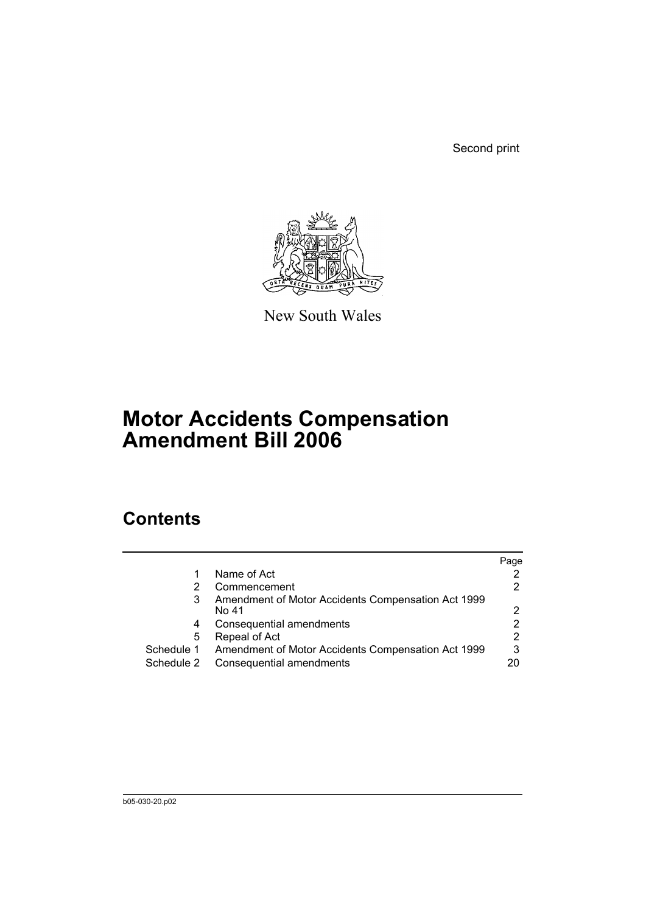Second print



New South Wales

# **Motor Accidents Compensation Amendment Bill 2006**

## **Contents**

|            |                                                    | Page |
|------------|----------------------------------------------------|------|
| 1          | Name of Act                                        |      |
|            | Commencement                                       |      |
| 3          | Amendment of Motor Accidents Compensation Act 1999 |      |
|            | No 41                                              | 2    |
| 4          | Consequential amendments                           |      |
| 5          | Repeal of Act                                      | 2    |
| Schedule 1 | Amendment of Motor Accidents Compensation Act 1999 | 3    |
| Schedule 2 | Consequential amendments                           | 20   |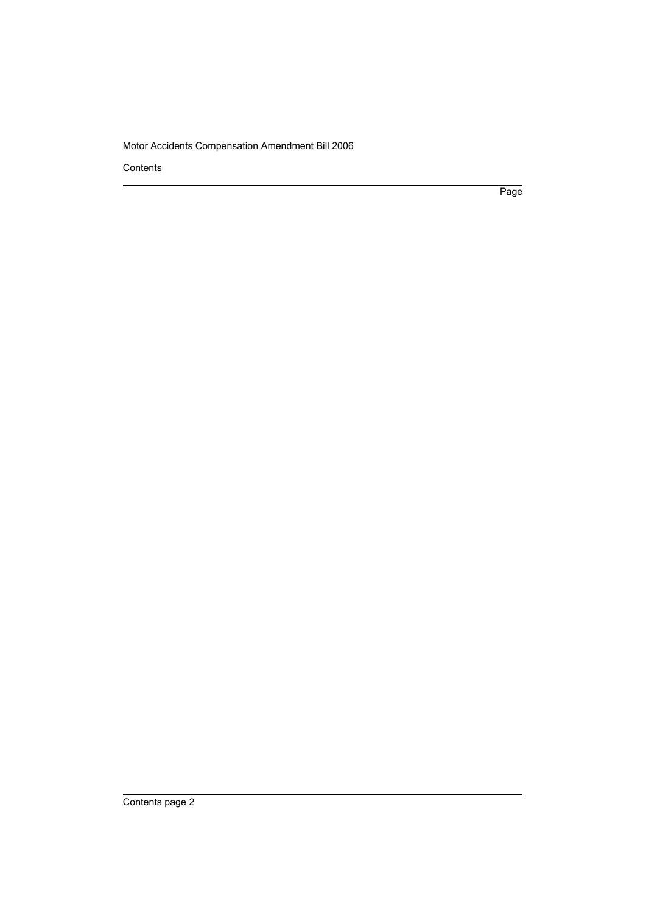Contents

Page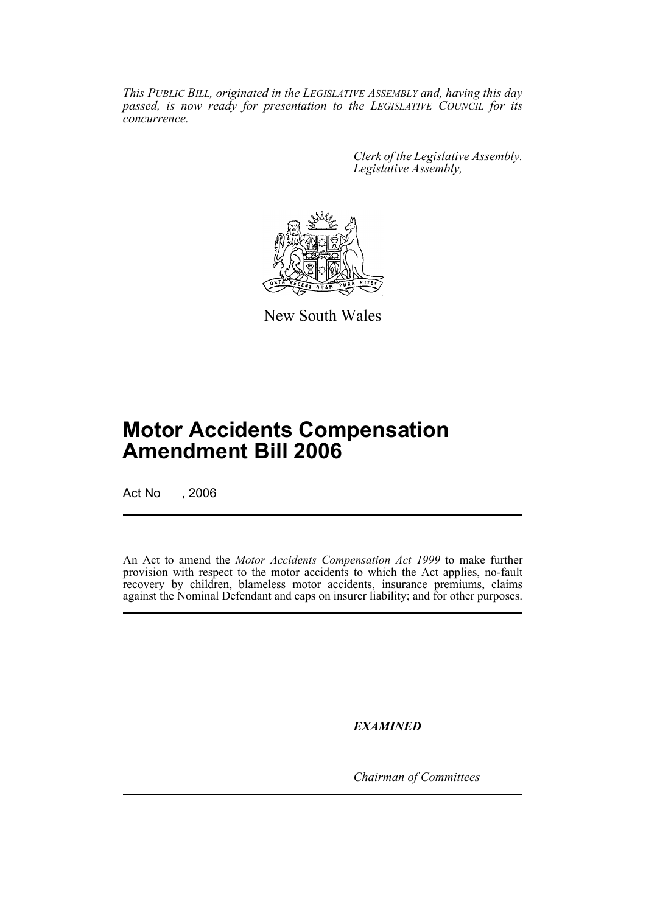*This PUBLIC BILL, originated in the LEGISLATIVE ASSEMBLY and, having this day passed, is now ready for presentation to the LEGISLATIVE COUNCIL for its concurrence.*

> *Clerk of the Legislative Assembly. Legislative Assembly,*



New South Wales

## **Motor Accidents Compensation Amendment Bill 2006**

Act No , 2006

An Act to amend the *Motor Accidents Compensation Act 1999* to make further provision with respect to the motor accidents to which the Act applies, no-fault recovery by children, blameless motor accidents, insurance premiums, claims against the Nominal Defendant and caps on insurer liability; and for other purposes.

*EXAMINED*

*Chairman of Committees*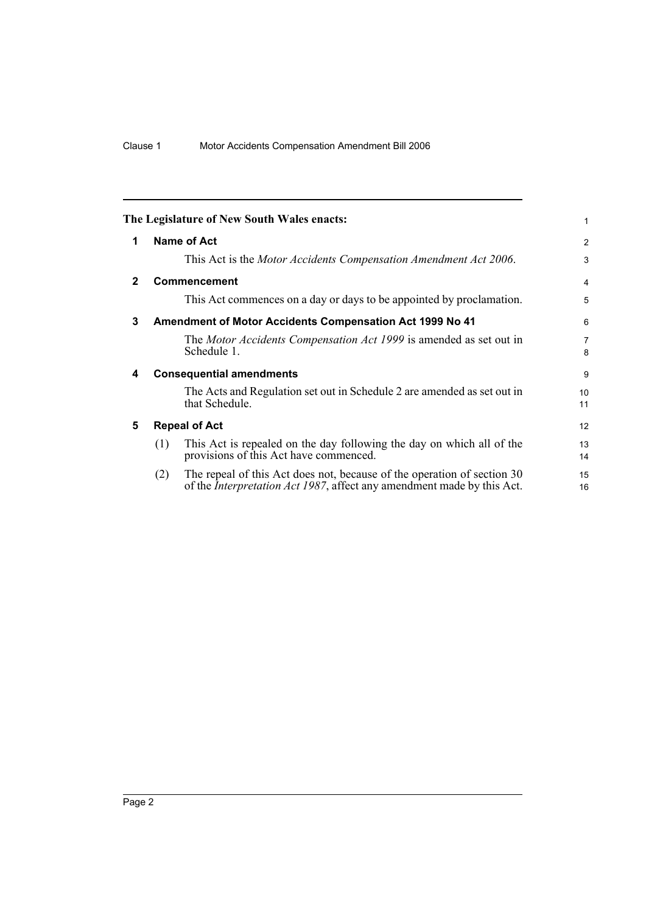<span id="page-3-4"></span><span id="page-3-3"></span><span id="page-3-2"></span><span id="page-3-1"></span><span id="page-3-0"></span>

|              |     | The Legislature of New South Wales enacts:                                                                                                                | 1                     |
|--------------|-----|-----------------------------------------------------------------------------------------------------------------------------------------------------------|-----------------------|
| 1            |     | Name of Act                                                                                                                                               | 2                     |
|              |     | This Act is the Motor Accidents Compensation Amendment Act 2006.                                                                                          | 3                     |
| $\mathbf{2}$ |     | <b>Commencement</b>                                                                                                                                       | $\overline{4}$        |
|              |     | This Act commences on a day or days to be appointed by proclamation.                                                                                      | 5                     |
| 3            |     | Amendment of Motor Accidents Compensation Act 1999 No 41                                                                                                  | 6                     |
|              |     | The Motor Accidents Compensation Act 1999 is amended as set out in<br>Schedule 1.                                                                         | $\overline{7}$<br>8   |
| 4            |     | <b>Consequential amendments</b>                                                                                                                           | 9                     |
|              |     | The Acts and Regulation set out in Schedule 2 are amended as set out in<br>that Schedule.                                                                 | 10 <sup>1</sup><br>11 |
| 5            |     | <b>Repeal of Act</b>                                                                                                                                      | 12                    |
|              | (1) | This Act is repealed on the day following the day on which all of the<br>provisions of this Act have commenced.                                           | 13<br>14              |
|              | (2) | The repeal of this Act does not, because of the operation of section 30<br>of the <i>Interpretation Act 1987</i> , affect any amendment made by this Act. | 15<br>16              |
|              |     |                                                                                                                                                           |                       |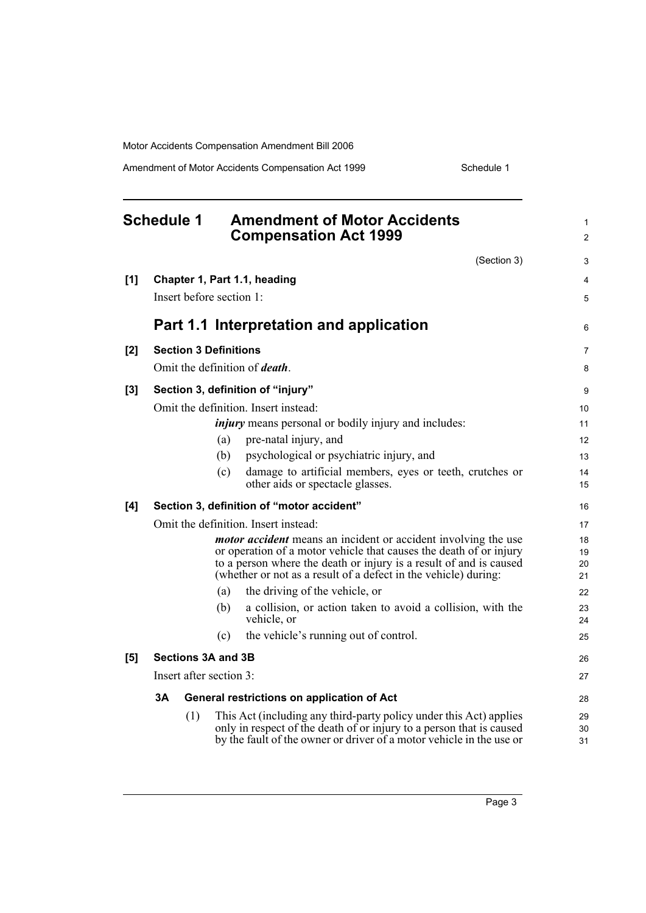Amendment of Motor Accidents Compensation Act 1999 Schedule 1

<span id="page-4-0"></span>

|     | <b>Schedule 1</b> |                                       | <b>Amendment of Motor Accidents</b><br><b>Compensation Act 1999</b>                                                                                                                                                                                                                  | $\mathbf{1}$<br>$\overline{2}$ |
|-----|-------------------|---------------------------------------|--------------------------------------------------------------------------------------------------------------------------------------------------------------------------------------------------------------------------------------------------------------------------------------|--------------------------------|
|     |                   |                                       | (Section 3)                                                                                                                                                                                                                                                                          | 3                              |
| [1] |                   |                                       | Chapter 1, Part 1.1, heading                                                                                                                                                                                                                                                         | 4                              |
|     |                   | Insert before section 1:              |                                                                                                                                                                                                                                                                                      | 5                              |
|     |                   |                                       | Part 1.1 Interpretation and application                                                                                                                                                                                                                                              | 6                              |
| [2] |                   | <b>Section 3 Definitions</b>          |                                                                                                                                                                                                                                                                                      | 7                              |
|     |                   | Omit the definition of <i>death</i> . |                                                                                                                                                                                                                                                                                      | 8                              |
| [3] |                   |                                       | Section 3, definition of "injury"                                                                                                                                                                                                                                                    | 9                              |
|     |                   |                                       | Omit the definition. Insert instead:                                                                                                                                                                                                                                                 | 10                             |
|     |                   |                                       | <i>injury</i> means personal or bodily injury and includes:                                                                                                                                                                                                                          | 11                             |
|     |                   | (a)                                   | pre-natal injury, and                                                                                                                                                                                                                                                                | 12                             |
|     |                   | (b)                                   | psychological or psychiatric injury, and                                                                                                                                                                                                                                             | 13                             |
|     |                   | (c)                                   | damage to artificial members, eyes or teeth, crutches or<br>other aids or spectacle glasses.                                                                                                                                                                                         | 14<br>15                       |
| [4] |                   |                                       | Section 3, definition of "motor accident"                                                                                                                                                                                                                                            | 16                             |
|     |                   |                                       | Omit the definition. Insert instead:                                                                                                                                                                                                                                                 | 17                             |
|     |                   |                                       | <i>motor accident</i> means an incident or accident involving the use<br>or operation of a motor vehicle that causes the death of or injury<br>to a person where the death or injury is a result of and is caused<br>(whether or not as a result of a defect in the vehicle) during: | 18<br>19<br>20<br>21           |
|     |                   | (a)                                   | the driving of the vehicle, or                                                                                                                                                                                                                                                       | 22                             |
|     |                   | (b)                                   | a collision, or action taken to avoid a collision, with the<br>vehicle, or                                                                                                                                                                                                           | 23<br>24                       |
|     |                   | (c)                                   | the vehicle's running out of control.                                                                                                                                                                                                                                                | 25                             |
| [5] |                   | Sections 3A and 3B                    |                                                                                                                                                                                                                                                                                      | 26                             |
|     |                   | Insert after section 3:               |                                                                                                                                                                                                                                                                                      | 27                             |
|     | 3Α                |                                       | General restrictions on application of Act                                                                                                                                                                                                                                           | 28                             |
|     |                   | (1)                                   | This Act (including any third-party policy under this Act) applies<br>only in respect of the death of or injury to a person that is caused<br>by the fault of the owner or driver of a motor vehicle in the use or                                                                   | 29<br>30<br>31                 |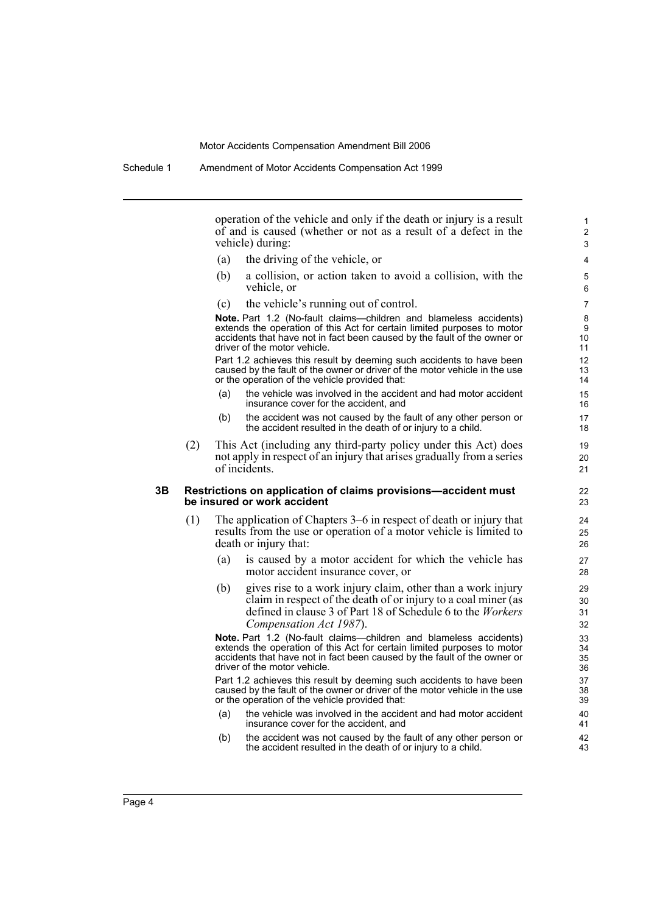operation of the vehicle and only if the death or injury is a result of and is caused (whether or not as a result of a defect in the vehicle) during:

- (a) the driving of the vehicle, or
- (b) a collision, or action taken to avoid a collision, with the vehicle, or
- (c) the vehicle's running out of control.

**Note.** Part 1.2 (No-fault claims—children and blameless accidents) extends the operation of this Act for certain limited purposes to motor accidents that have not in fact been caused by the fault of the owner or driver of the motor vehicle.

Part 1.2 achieves this result by deeming such accidents to have been caused by the fault of the owner or driver of the motor vehicle in the use or the operation of the vehicle provided that:

- (a) the vehicle was involved in the accident and had motor accident insurance cover for the accident, and
- (b) the accident was not caused by the fault of any other person or the accident resulted in the death of or injury to a child.
- (2) This Act (including any third-party policy under this Act) does not apply in respect of an injury that arises gradually from a series of incidents.

#### **3B Restrictions on application of claims provisions—accident must be insured or work accident**

- (1) The application of Chapters 3–6 in respect of death or injury that results from the use or operation of a motor vehicle is limited to death or injury that:
	- (a) is caused by a motor accident for which the vehicle has motor accident insurance cover, or
	- (b) gives rise to a work injury claim, other than a work injury claim in respect of the death of or injury to a coal miner (as defined in clause 3 of Part 18 of Schedule 6 to the *Workers Compensation Act 1987*).

**Note.** Part 1.2 (No-fault claims—children and blameless accidents) extends the operation of this Act for certain limited purposes to motor accidents that have not in fact been caused by the fault of the owner or driver of the motor vehicle.

Part 1.2 achieves this result by deeming such accidents to have been caused by the fault of the owner or driver of the motor vehicle in the use or the operation of the vehicle provided that:

- (a) the vehicle was involved in the accident and had motor accident insurance cover for the accident, and
- (b) the accident was not caused by the fault of any other person or the accident resulted in the death of or injury to a child.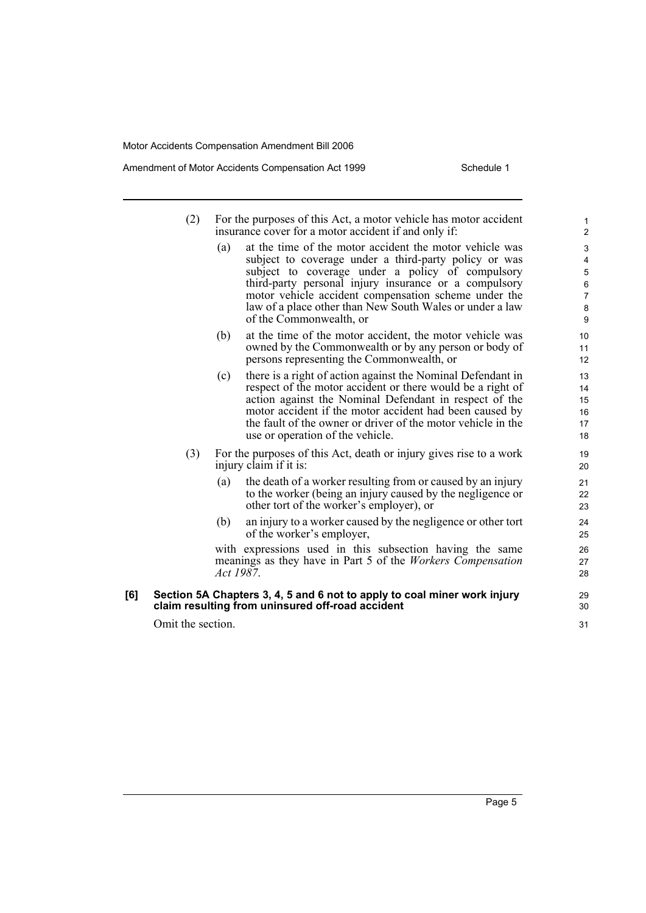Amendment of Motor Accidents Compensation Act 1999 Schedule 1

29 30 31

| (2) For the purposes of this Act, a motor vehicle has motor accident |
|----------------------------------------------------------------------|
| insurance cover for a motor accident if and only if:                 |

- (a) at the time of the motor accident the motor vehicle was subject to coverage under a third-party policy or was subject to coverage under a policy of compulsory third-party personal injury insurance or a compulsory motor vehicle accident compensation scheme under the law of a place other than New South Wales or under a law of the Commonwealth, or
- (b) at the time of the motor accident, the motor vehicle was owned by the Commonwealth or by any person or body of persons representing the Commonwealth, or
- (c) there is a right of action against the Nominal Defendant in respect of the motor accident or there would be a right of action against the Nominal Defendant in respect of the motor accident if the motor accident had been caused by the fault of the owner or driver of the motor vehicle in the use or operation of the vehicle.
- (3) For the purposes of this Act, death or injury gives rise to a work injury claim if it is:
	- (a) the death of a worker resulting from or caused by an injury to the worker (being an injury caused by the negligence or other tort of the worker's employer), or
	- (b) an injury to a worker caused by the negligence or other tort of the worker's employer,

with expressions used in this subsection having the same meanings as they have in Part 5 of the *Workers Compensation Act 1987*.

#### **[6] Section 5A Chapters 3, 4, 5 and 6 not to apply to coal miner work injury claim resulting from uninsured off-road accident**

Omit the section.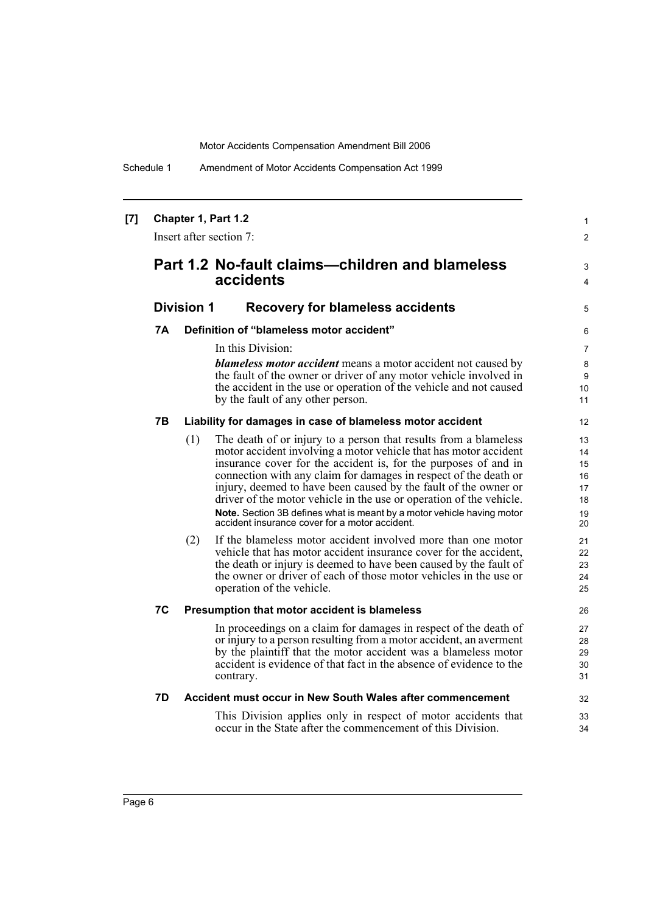Schedule 1 Amendment of Motor Accidents Compensation Act 1999

#### **[7] Chapter 1, Part 1.2** Insert after section 7: **Part 1.2 No-fault claims—children and blameless accidents Division 1 Recovery for blameless accidents 7A Definition of "blameless motor accident"** In this Division: *blameless motor accident* means a motor accident not caused by the fault of the owner or driver of any motor vehicle involved in the accident in the use or operation of the vehicle and not caused by the fault of any other person. **7B Liability for damages in case of blameless motor accident** (1) The death of or injury to a person that results from a blameless motor accident involving a motor vehicle that has motor accident insurance cover for the accident is, for the purposes of and in connection with any claim for damages in respect of the death or injury, deemed to have been caused by the fault of the owner or driver of the motor vehicle in the use or operation of the vehicle. **Note.** Section 3B defines what is meant by a motor vehicle having motor accident insurance cover for a motor accident. (2) If the blameless motor accident involved more than one motor vehicle that has motor accident insurance cover for the accident, the death or injury is deemed to have been caused by the fault of the owner or driver of each of those motor vehicles in the use or operation of the vehicle. **7C Presumption that motor accident is blameless** In proceedings on a claim for damages in respect of the death of or injury to a person resulting from a motor accident, an averment by the plaintiff that the motor accident was a blameless motor accident is evidence of that fact in the absence of evidence to the contrary. **7D Accident must occur in New South Wales after commencement** This Division applies only in respect of motor accidents that occur in the State after the commencement of this Division. 1  $\mathfrak{p}$ 3 4 5 6 7 8 9  $10$ 11 12 13  $14$ 15 16 17 18 19 20 21 22 23  $24$ 25 26 27 28 29 30 31  $32$ 33 34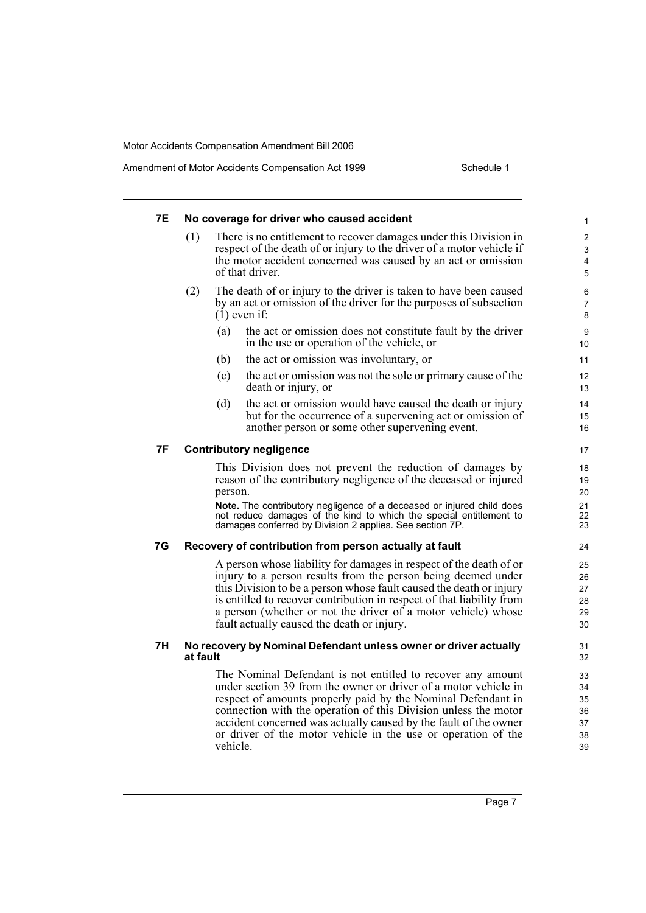| 7Е | No coverage for driver who caused accident                                                                                                                                                                                            |          |                                                                                                                                                                                                                                                                                                                                                                                                        |                                        |  |  |  |
|----|---------------------------------------------------------------------------------------------------------------------------------------------------------------------------------------------------------------------------------------|----------|--------------------------------------------------------------------------------------------------------------------------------------------------------------------------------------------------------------------------------------------------------------------------------------------------------------------------------------------------------------------------------------------------------|----------------------------------------|--|--|--|
|    | There is no entitlement to recover damages under this Division in<br>(1)<br>respect of the death of or injury to the driver of a motor vehicle if<br>the motor accident concerned was caused by an act or omission<br>of that driver. |          |                                                                                                                                                                                                                                                                                                                                                                                                        |                                        |  |  |  |
|    | (2)                                                                                                                                                                                                                                   |          | The death of or injury to the driver is taken to have been caused<br>by an act or omission of the driver for the purposes of subsection<br>$(1)$ even if:                                                                                                                                                                                                                                              | 6<br>$\overline{7}$<br>8               |  |  |  |
|    |                                                                                                                                                                                                                                       | (a)      | the act or omission does not constitute fault by the driver<br>in the use or operation of the vehicle, or                                                                                                                                                                                                                                                                                              | 9<br>10                                |  |  |  |
|    |                                                                                                                                                                                                                                       | (b)      | the act or omission was involuntary, or                                                                                                                                                                                                                                                                                                                                                                | 11                                     |  |  |  |
|    |                                                                                                                                                                                                                                       | (c)      | the act or omission was not the sole or primary cause of the<br>death or injury, or                                                                                                                                                                                                                                                                                                                    | 12<br>13                               |  |  |  |
|    |                                                                                                                                                                                                                                       | (d)      | the act or omission would have caused the death or injury<br>but for the occurrence of a supervening act or omission of<br>another person or some other supervening event.                                                                                                                                                                                                                             | 14<br>15<br>16                         |  |  |  |
| 7F |                                                                                                                                                                                                                                       |          | <b>Contributory negligence</b>                                                                                                                                                                                                                                                                                                                                                                         | 17                                     |  |  |  |
|    |                                                                                                                                                                                                                                       | person.  | This Division does not prevent the reduction of damages by<br>reason of the contributory negligence of the deceased or injured                                                                                                                                                                                                                                                                         | 18<br>19<br>20                         |  |  |  |
|    |                                                                                                                                                                                                                                       |          | Note. The contributory negligence of a deceased or injured child does<br>not reduce damages of the kind to which the special entitlement to<br>damages conferred by Division 2 applies. See section 7P.                                                                                                                                                                                                | 21<br>22<br>23                         |  |  |  |
| 7G |                                                                                                                                                                                                                                       |          | Recovery of contribution from person actually at fault                                                                                                                                                                                                                                                                                                                                                 | 24                                     |  |  |  |
|    |                                                                                                                                                                                                                                       |          | A person whose liability for damages in respect of the death of or<br>injury to a person results from the person being deemed under<br>this Division to be a person whose fault caused the death or injury<br>is entitled to recover contribution in respect of that liability from<br>a person (whether or not the driver of a motor vehicle) whose<br>fault actually caused the death or injury.     | 25<br>26<br>27<br>28<br>29<br>30       |  |  |  |
| 7H | at fault                                                                                                                                                                                                                              |          | No recovery by Nominal Defendant unless owner or driver actually                                                                                                                                                                                                                                                                                                                                       | 31<br>32                               |  |  |  |
|    |                                                                                                                                                                                                                                       | vehicle. | The Nominal Defendant is not entitled to recover any amount<br>under section 39 from the owner or driver of a motor vehicle in<br>respect of amounts properly paid by the Nominal Defendant in<br>connection with the operation of this Division unless the motor<br>accident concerned was actually caused by the fault of the owner<br>or driver of the motor vehicle in the use or operation of the | 33<br>34<br>35<br>36<br>37<br>38<br>39 |  |  |  |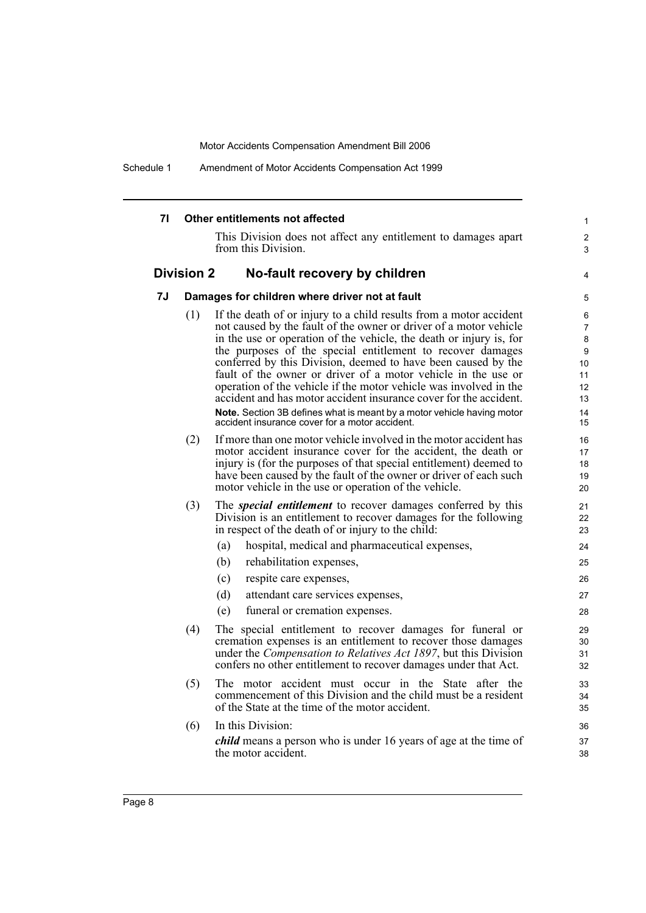Schedule 1 Amendment of Motor Accidents Compensation Act 1999

| 71 |                                                                                       | Other entitlements not affected                                                                                                                                                                                                                                                                                                                                                                                                                                                                                                                          | $\mathbf{1}$                                          |  |  |
|----|---------------------------------------------------------------------------------------|----------------------------------------------------------------------------------------------------------------------------------------------------------------------------------------------------------------------------------------------------------------------------------------------------------------------------------------------------------------------------------------------------------------------------------------------------------------------------------------------------------------------------------------------------------|-------------------------------------------------------|--|--|
|    | This Division does not affect any entitlement to damages apart<br>from this Division. |                                                                                                                                                                                                                                                                                                                                                                                                                                                                                                                                                          |                                                       |  |  |
|    | <b>Division 2</b>                                                                     | No-fault recovery by children                                                                                                                                                                                                                                                                                                                                                                                                                                                                                                                            | 4                                                     |  |  |
| 7J |                                                                                       | Damages for children where driver not at fault                                                                                                                                                                                                                                                                                                                                                                                                                                                                                                           | 5                                                     |  |  |
|    | (1)                                                                                   | If the death of or injury to a child results from a motor accident<br>not caused by the fault of the owner or driver of a motor vehicle<br>in the use or operation of the vehicle, the death or injury is, for<br>the purposes of the special entitlement to recover damages<br>conferred by this Division, deemed to have been caused by the<br>fault of the owner or driver of a motor vehicle in the use or<br>operation of the vehicle if the motor vehicle was involved in the<br>accident and has motor accident insurance cover for the accident. | 6<br>$\overline{7}$<br>8<br>9<br>10<br>11<br>12<br>13 |  |  |
|    |                                                                                       | Note. Section 3B defines what is meant by a motor vehicle having motor<br>accident insurance cover for a motor accident.                                                                                                                                                                                                                                                                                                                                                                                                                                 | 14<br>15                                              |  |  |
|    | (2)                                                                                   | If more than one motor vehicle involved in the motor accident has<br>motor accident insurance cover for the accident, the death or<br>injury is (for the purposes of that special entitlement) deemed to<br>have been caused by the fault of the owner or driver of each such<br>motor vehicle in the use or operation of the vehicle.                                                                                                                                                                                                                   | 16<br>17<br>18<br>19<br>20                            |  |  |
|    | (3)                                                                                   | The <i>special entitlement</i> to recover damages conferred by this<br>Division is an entitlement to recover damages for the following<br>in respect of the death of or injury to the child:<br>(a)<br>hospital, medical and pharmaceutical expenses,<br>rehabilitation expenses,<br>(b)<br>respite care expenses,<br>(c)<br>(d)<br>attendant care services expenses,<br>(e)<br>funeral or cremation expenses.                                                                                                                                           | 21<br>22<br>23<br>24<br>25<br>26<br>27<br>28          |  |  |
|    | (4)                                                                                   | The special entitlement to recover damages for funeral or<br>cremation expenses is an entitlement to recover those damages<br>under the <i>Compensation to Relatives Act 1897</i> , but this Division<br>confers no other entitlement to recover damages under that Act.                                                                                                                                                                                                                                                                                 | 29<br>30<br>31<br>32                                  |  |  |
|    | (5)                                                                                   | The motor accident must occur in the State after the<br>commencement of this Division and the child must be a resident<br>of the State at the time of the motor accident.                                                                                                                                                                                                                                                                                                                                                                                | 33<br>34<br>35                                        |  |  |
|    | (6)                                                                                   | In this Division:<br><i>child</i> means a person who is under 16 years of age at the time of<br>the motor accident.                                                                                                                                                                                                                                                                                                                                                                                                                                      | 36<br>37<br>38                                        |  |  |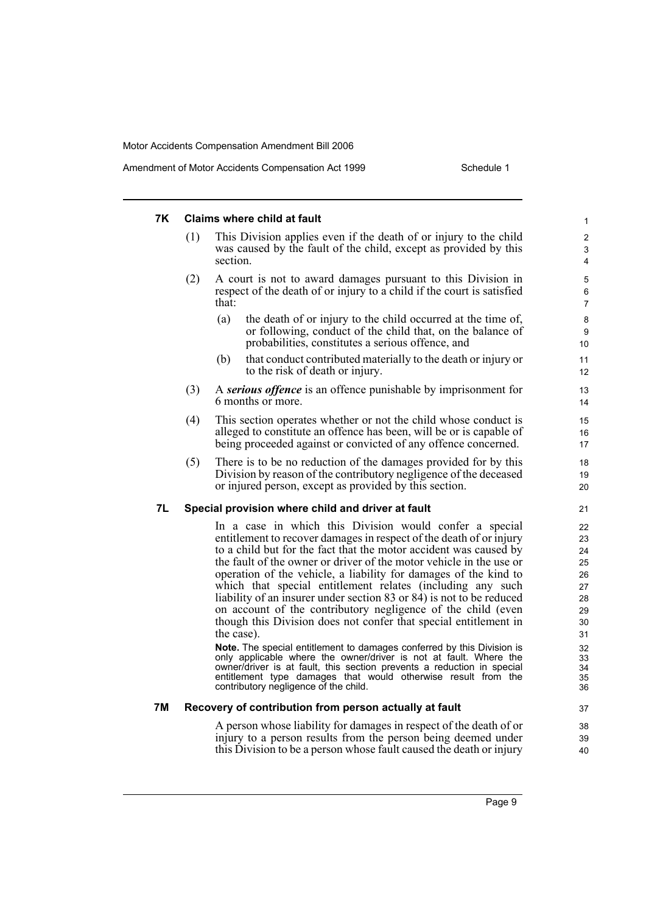#### **7K Claims where child at fault** (1) This Division applies even if the death of or injury to the child was caused by the fault of the child, except as provided by this section. (2) A court is not to award damages pursuant to this Division in respect of the death of or injury to a child if the court is satisfied that: (a) the death of or injury to the child occurred at the time of, or following, conduct of the child that, on the balance of probabilities, constitutes a serious offence, and (b) that conduct contributed materially to the death or injury or to the risk of death or injury. (3) A *serious offence* is an offence punishable by imprisonment for 6 months or more. (4) This section operates whether or not the child whose conduct is alleged to constitute an offence has been, will be or is capable of being proceeded against or convicted of any offence concerned. (5) There is to be no reduction of the damages provided for by this Division by reason of the contributory negligence of the deceased or injured person, except as provided by this section. **7L Special provision where child and driver at fault** In a case in which this Division would confer a special entitlement to recover damages in respect of the death of or injury to a child but for the fact that the motor accident was caused by the fault of the owner or driver of the motor vehicle in the use or operation of the vehicle, a liability for damages of the kind to which that special entitlement relates (including any such liability of an insurer under section 83 or 84) is not to be reduced on account of the contributory negligence of the child (even though this Division does not confer that special entitlement in the case). **Note.** The special entitlement to damages conferred by this Division is only applicable where the owner/driver is not at fault. Where the owner/driver is at fault, this section prevents a reduction in special entitlement type damages that would otherwise result from the contributory negligence of the child. **7M Recovery of contribution from person actually at fault** A person whose liability for damages in respect of the death of or injury to a person results from the person being deemed under 1 2 3 4 5 6 7 8 9 10 11 12 13 14 15 16 17 18 19 20 21 22 23 24 25 26 27 28 29 30 31 32 33 34 35 36 37 38 39

this Division to be a person whose fault caused the death or injury

40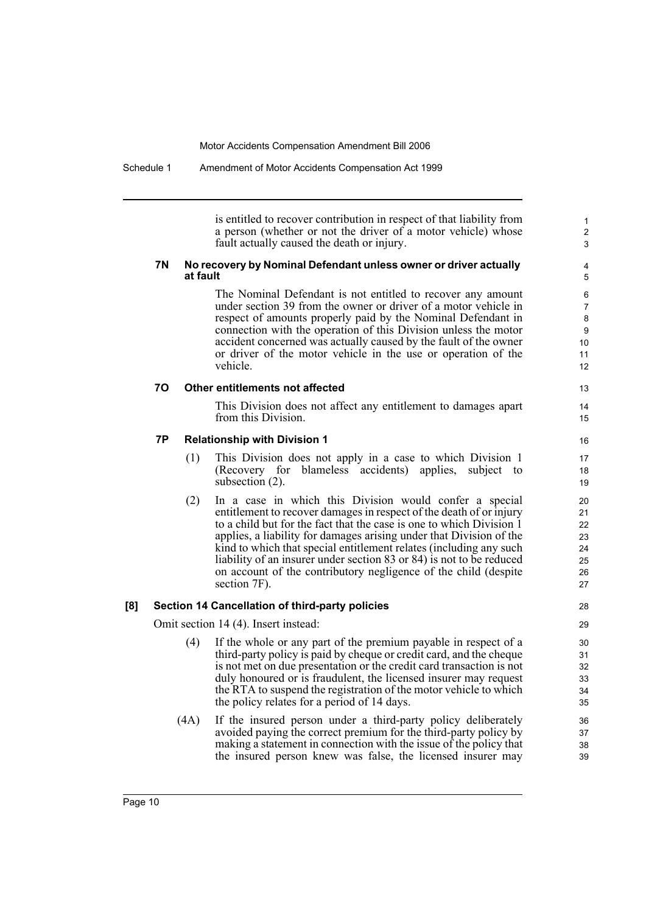Schedule 1 Amendment of Motor Accidents Compensation Act 1999

is entitled to recover contribution in respect of that liability from a person (whether or not the driver of a motor vehicle) whose fault actually caused the death or injury.

1 2 3

#### **7N No recovery by Nominal Defendant unless owner or driver actually at fault**

The Nominal Defendant is not entitled to recover any amount under section 39 from the owner or driver of a motor vehicle in respect of amounts properly paid by the Nominal Defendant in connection with the operation of this Division unless the motor accident concerned was actually caused by the fault of the owner or driver of the motor vehicle in the use or operation of the vehicle.

#### **7O Other entitlements not affected**

This Division does not affect any entitlement to damages apart from this Division.

#### **7P Relationship with Division 1**

- (1) This Division does not apply in a case to which Division 1 (Recovery for blameless accidents) applies, subject to subsection  $(2)$ .
- (2) In a case in which this Division would confer a special entitlement to recover damages in respect of the death of or injury to a child but for the fact that the case is one to which Division 1 applies, a liability for damages arising under that Division of the kind to which that special entitlement relates (including any such liability of an insurer under section 83 or 84) is not to be reduced on account of the contributory negligence of the child (despite section 7F).

#### **[8] Section 14 Cancellation of third-party policies**

Omit section 14 (4). Insert instead:

- (4) If the whole or any part of the premium payable in respect of a third-party policy is paid by cheque or credit card, and the cheque is not met on due presentation or the credit card transaction is not duly honoured or is fraudulent, the licensed insurer may request the RTA to suspend the registration of the motor vehicle to which the policy relates for a period of 14 days.
- (4A) If the insured person under a third-party policy deliberately avoided paying the correct premium for the third-party policy by making a statement in connection with the issue of the policy that the insured person knew was false, the licensed insurer may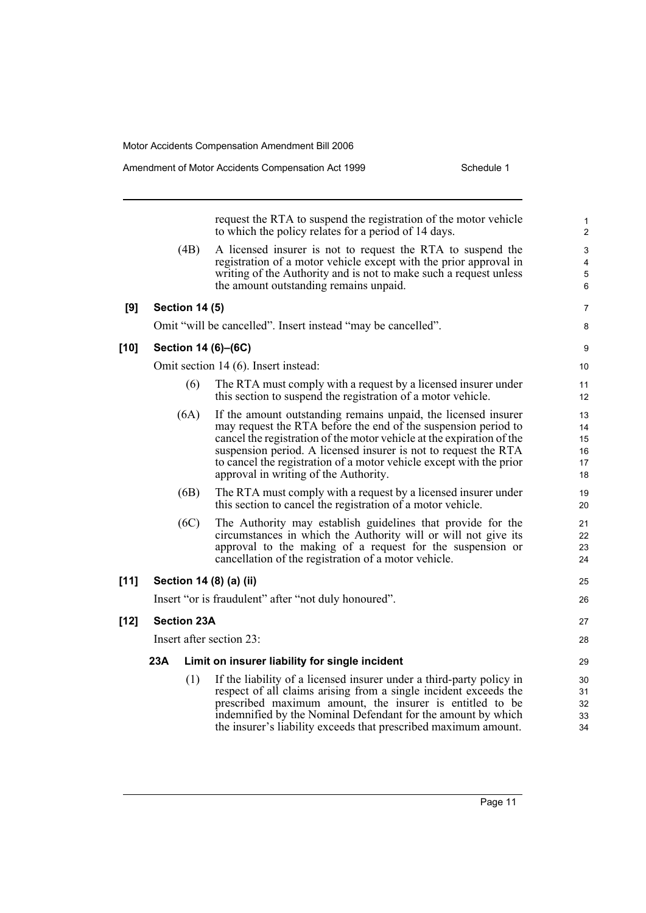#### Amendment of Motor Accidents Compensation Act 1999 Schedule 1

request the RTA to suspend the registration of the motor vehicle to which the policy relates for a period of 14 days. (4B) A licensed insurer is not to request the RTA to suspend the registration of a motor vehicle except with the prior approval in writing of the Authority and is not to make such a request unless the amount outstanding remains unpaid. **[9] Section 14 (5)** Omit "will be cancelled". Insert instead "may be cancelled". **[10] Section 14 (6)–(6C)** Omit section 14 (6). Insert instead: (6) The RTA must comply with a request by a licensed insurer under this section to suspend the registration of a motor vehicle. (6A) If the amount outstanding remains unpaid, the licensed insurer may request the RTA before the end of the suspension period to cancel the registration of the motor vehicle at the expiration of the suspension period. A licensed insurer is not to request the RTA to cancel the registration of a motor vehicle except with the prior approval in writing of the Authority. (6B) The RTA must comply with a request by a licensed insurer under this section to cancel the registration of a motor vehicle. (6C) The Authority may establish guidelines that provide for the circumstances in which the Authority will or will not give its approval to the making of a request for the suspension or cancellation of the registration of a motor vehicle. **[11] Section 14 (8) (a) (ii)** Insert "or is fraudulent" after "not duly honoured". **[12] Section 23A** Insert after section 23: **23A Limit on insurer liability for single incident** (1) If the liability of a licensed insurer under a third-party policy in respect of all claims arising from a single incident exceeds the prescribed maximum amount, the insurer is entitled to be indemnified by the Nominal Defendant for the amount by which the insurer's liability exceeds that prescribed maximum amount. 1 2 3 4 5 6 7 8 9  $1<sub>0</sub>$ 11 12 13 14 15 16 17 18 19 20 21 22 23 24 25 26 27 28 29 30 31 32 33 34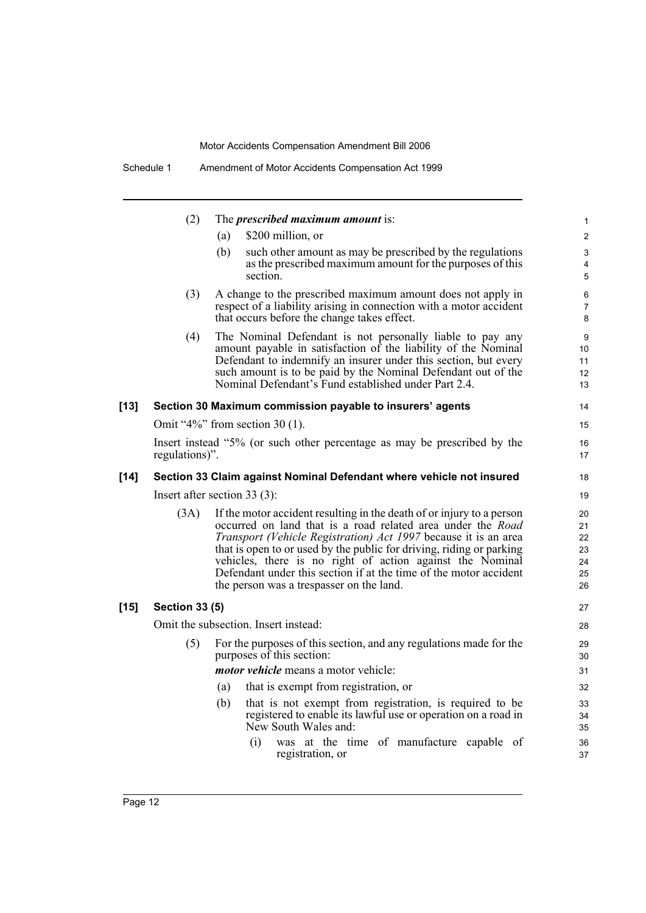|        | (2)                                                                  | The <i>prescribed maximum amount</i> is:                                                                                                | 1              |  |  |
|--------|----------------------------------------------------------------------|-----------------------------------------------------------------------------------------------------------------------------------------|----------------|--|--|
|        |                                                                      | \$200 million, or<br>(a)                                                                                                                | $\overline{2}$ |  |  |
|        |                                                                      | such other amount as may be prescribed by the regulations<br>(b)<br>as the prescribed maximum amount for the purposes of this           | 3              |  |  |
|        |                                                                      | section.                                                                                                                                | 4<br>5         |  |  |
|        | (3)                                                                  | A change to the prescribed maximum amount does not apply in                                                                             | 6              |  |  |
|        |                                                                      | respect of a liability arising in connection with a motor accident<br>that occurs before the change takes effect.                       | 7<br>8         |  |  |
|        | (4)                                                                  | The Nominal Defendant is not personally liable to pay any                                                                               | 9              |  |  |
|        |                                                                      | amount payable in satisfaction of the liability of the Nominal<br>Defendant to indemnify an insurer under this section, but every       | 10<br>11       |  |  |
|        |                                                                      | such amount is to be paid by the Nominal Defendant out of the                                                                           | 12             |  |  |
|        |                                                                      | Nominal Defendant's Fund established under Part 2.4.                                                                                    | 13             |  |  |
| $[13]$ |                                                                      | Section 30 Maximum commission payable to insurers' agents                                                                               | 14             |  |  |
|        |                                                                      | Omit "4%" from section 30 (1).                                                                                                          | 15             |  |  |
|        | regulations)".                                                       | Insert instead "5% (or such other percentage as may be prescribed by the                                                                | 16<br>17       |  |  |
| $[14]$ | Section 33 Claim against Nominal Defendant where vehicle not insured |                                                                                                                                         |                |  |  |
|        |                                                                      | Insert after section $33(3)$ :                                                                                                          | 19             |  |  |
|        | (3A)                                                                 | If the motor accident resulting in the death of or injury to a person                                                                   | 20             |  |  |
|        |                                                                      | occurred on land that is a road related area under the Road                                                                             | 21             |  |  |
|        |                                                                      | Transport (Vehicle Registration) Act 1997 because it is an area<br>that is open to or used by the public for driving, riding or parking | 22<br>23       |  |  |
|        |                                                                      | vehicles, there is no right of action against the Nominal                                                                               | 24             |  |  |
|        |                                                                      | Defendant under this section if at the time of the motor accident                                                                       | 25             |  |  |
|        |                                                                      | the person was a trespasser on the land.                                                                                                | 26             |  |  |
| $[15]$ | <b>Section 33 (5)</b>                                                |                                                                                                                                         |                |  |  |
|        | Omit the subsection. Insert instead:                                 |                                                                                                                                         |                |  |  |
|        | (5)                                                                  | For the purposes of this section, and any regulations made for the<br>purposes of this section:                                         | 29<br>30       |  |  |
|        |                                                                      | <i>motor vehicle</i> means a motor vehicle:                                                                                             | 31             |  |  |
|        |                                                                      | that is exempt from registration, or<br>(a)                                                                                             | 32             |  |  |
|        |                                                                      | that is not exempt from registration, is required to be<br>(b)                                                                          | 33             |  |  |
|        |                                                                      | registered to enable its lawful use or operation on a road in                                                                           | 34             |  |  |
|        |                                                                      | New South Wales and:                                                                                                                    | 35             |  |  |
|        |                                                                      | was at the time of manufacture capable of<br>(i)<br>registration, or                                                                    | 36<br>37       |  |  |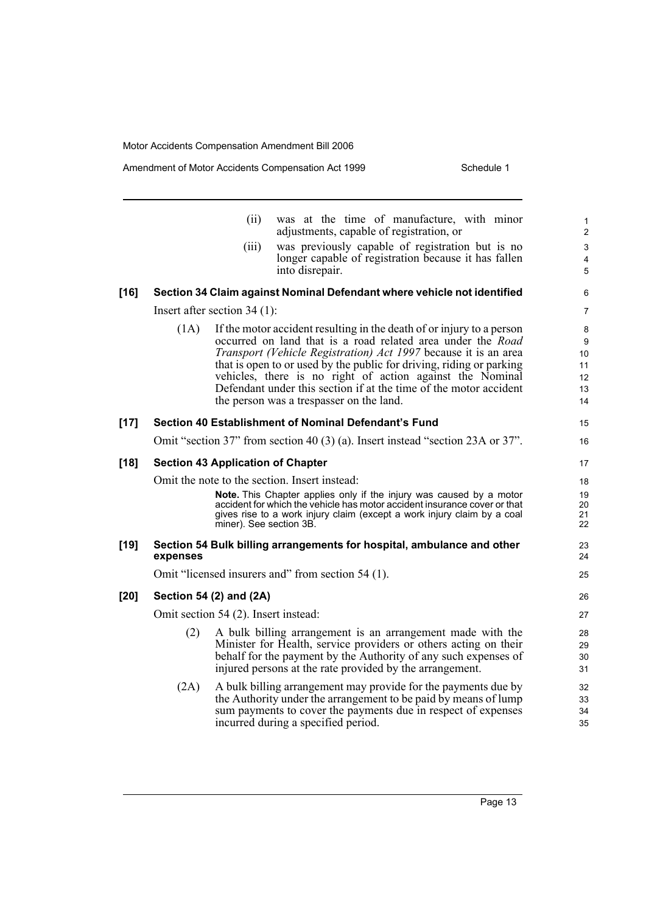| Amendment of Motor Accidents Compensation Act 1999 |  |
|----------------------------------------------------|--|
|----------------------------------------------------|--|

Schedule 1

|        |          | (ii)                                          | was at the time of manufacture, with minor<br>adjustments, capable of registration, or                                                                                                                                                                                                                                                                                                                                                                        | $\mathbf{1}$<br>2                    |
|--------|----------|-----------------------------------------------|---------------------------------------------------------------------------------------------------------------------------------------------------------------------------------------------------------------------------------------------------------------------------------------------------------------------------------------------------------------------------------------------------------------------------------------------------------------|--------------------------------------|
|        |          | (iii)                                         | was previously capable of registration but is no<br>longer capable of registration because it has fallen<br>into disrepair.                                                                                                                                                                                                                                                                                                                                   | $\ensuremath{\mathsf{3}}$<br>4<br>5  |
| $[16]$ |          |                                               | Section 34 Claim against Nominal Defendant where vehicle not identified                                                                                                                                                                                                                                                                                                                                                                                       | 6                                    |
|        |          | Insert after section $34(1)$ :                |                                                                                                                                                                                                                                                                                                                                                                                                                                                               | $\overline{7}$                       |
|        | (1A)     |                                               | If the motor accident resulting in the death of or injury to a person<br>occurred on land that is a road related area under the Road<br>Transport (Vehicle Registration) Act 1997 because it is an area<br>that is open to or used by the public for driving, riding or parking<br>vehicles, there is no right of action against the Nominal<br>Defendant under this section if at the time of the motor accident<br>the person was a trespasser on the land. | 8<br>9<br>10<br>11<br>12<br>13<br>14 |
| $[17]$ |          |                                               | Section 40 Establishment of Nominal Defendant's Fund                                                                                                                                                                                                                                                                                                                                                                                                          | 15                                   |
|        |          |                                               | Omit "section 37" from section 40 (3) (a). Insert instead "section 23A or 37".                                                                                                                                                                                                                                                                                                                                                                                | 16                                   |
| $[18]$ |          | <b>Section 43 Application of Chapter</b>      |                                                                                                                                                                                                                                                                                                                                                                                                                                                               | 17                                   |
|        |          | Omit the note to the section. Insert instead: |                                                                                                                                                                                                                                                                                                                                                                                                                                                               | 18                                   |
|        |          | miner). See section 3B.                       | Note. This Chapter applies only if the injury was caused by a motor<br>accident for which the vehicle has motor accident insurance cover or that<br>gives rise to a work injury claim (except a work injury claim by a coal                                                                                                                                                                                                                                   | 19<br>20<br>21<br>22                 |
| $[19]$ | expenses |                                               | Section 54 Bulk billing arrangements for hospital, ambulance and other                                                                                                                                                                                                                                                                                                                                                                                        | 23<br>24                             |
|        |          |                                               | Omit "licensed insurers and" from section 54 (1).                                                                                                                                                                                                                                                                                                                                                                                                             | 25                                   |
| $[20]$ |          | Section 54 (2) and (2A)                       |                                                                                                                                                                                                                                                                                                                                                                                                                                                               | 26                                   |
|        |          | Omit section 54 (2). Insert instead:          |                                                                                                                                                                                                                                                                                                                                                                                                                                                               | 27                                   |
|        | (2)      |                                               | A bulk billing arrangement is an arrangement made with the<br>Minister for Health, service providers or others acting on their<br>behalf for the payment by the Authority of any such expenses of<br>injured persons at the rate provided by the arrangement.                                                                                                                                                                                                 | 28<br>29<br>30<br>31                 |
|        | (2A)     |                                               | A bulk billing arrangement may provide for the payments due by<br>the Authority under the arrangement to be paid by means of lump<br>sum payments to cover the payments due in respect of expenses<br>incurred during a specified period.                                                                                                                                                                                                                     | 32<br>33<br>34<br>35                 |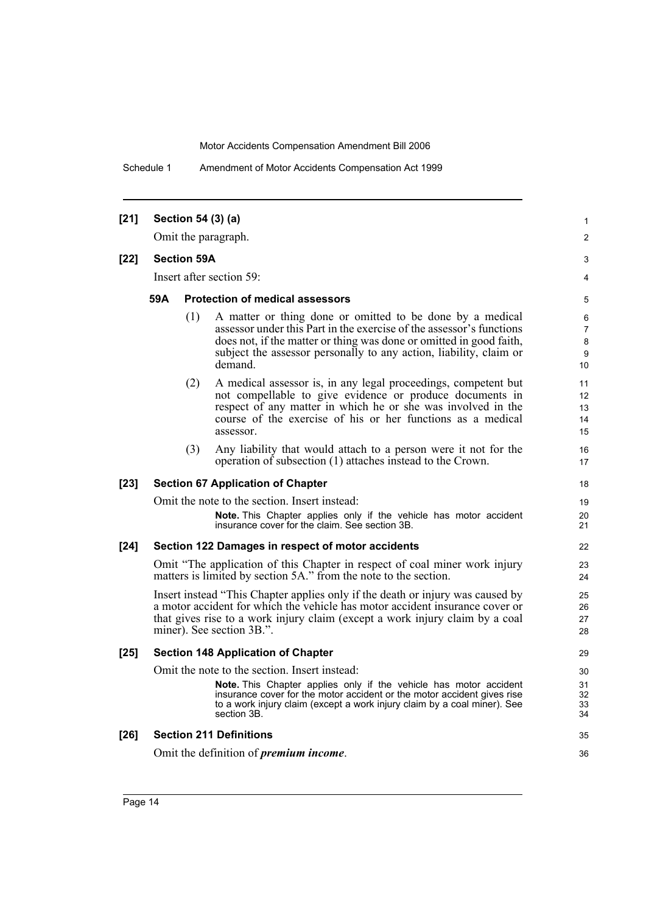Schedule 1 Amendment of Motor Accidents Compensation Act 1999

| $[21]$ | Section 54 (3) (a)       |     |                                                                                                                                                                                                                                                                                           |                            |  |
|--------|--------------------------|-----|-------------------------------------------------------------------------------------------------------------------------------------------------------------------------------------------------------------------------------------------------------------------------------------------|----------------------------|--|
|        |                          |     | Omit the paragraph.                                                                                                                                                                                                                                                                       | 2                          |  |
| $[22]$ | <b>Section 59A</b>       |     |                                                                                                                                                                                                                                                                                           | 3                          |  |
|        | Insert after section 59: |     |                                                                                                                                                                                                                                                                                           | 4                          |  |
|        | 59A                      |     | <b>Protection of medical assessors</b>                                                                                                                                                                                                                                                    | 5                          |  |
|        |                          | (1) | A matter or thing done or omitted to be done by a medical<br>assessor under this Part in the exercise of the assessor's functions<br>does not, if the matter or thing was done or omitted in good faith,<br>subject the assessor personally to any action, liability, claim or<br>demand. | 6<br>7<br>8<br>9<br>10     |  |
|        |                          | (2) | A medical assessor is, in any legal proceedings, competent but<br>not compellable to give evidence or produce documents in<br>respect of any matter in which he or she was involved in the<br>course of the exercise of his or her functions as a medical<br>assessor.                    | 11<br>12<br>13<br>14<br>15 |  |
|        |                          | (3) | Any liability that would attach to a person were it not for the<br>operation of subsection (1) attaches instead to the Crown.                                                                                                                                                             | 16<br>17                   |  |
| $[23]$ |                          |     | <b>Section 67 Application of Chapter</b>                                                                                                                                                                                                                                                  | 18                         |  |
|        |                          |     | Omit the note to the section. Insert instead:                                                                                                                                                                                                                                             | 19                         |  |
|        |                          |     | Note. This Chapter applies only if the vehicle has motor accident<br>insurance cover for the claim. See section 3B.                                                                                                                                                                       | 20<br>21                   |  |
| $[24]$ |                          |     | Section 122 Damages in respect of motor accidents                                                                                                                                                                                                                                         | 22                         |  |
|        |                          |     | Omit "The application of this Chapter in respect of coal miner work injury<br>matters is limited by section 5A." from the note to the section.                                                                                                                                            | 23<br>24                   |  |
|        |                          |     | Insert instead "This Chapter applies only if the death or injury was caused by<br>a motor accident for which the vehicle has motor accident insurance cover or<br>that gives rise to a work injury claim (except a work injury claim by a coal<br>miner). See section 3B.".               | 25<br>26<br>27<br>28       |  |
| $[25]$ |                          |     | <b>Section 148 Application of Chapter</b>                                                                                                                                                                                                                                                 | 29                         |  |
|        |                          |     | Omit the note to the section. Insert instead:                                                                                                                                                                                                                                             | 30                         |  |
|        |                          |     | Note. This Chapter applies only if the vehicle has motor accident<br>insurance cover for the motor accident or the motor accident gives rise<br>to a work injury claim (except a work injury claim by a coal miner). See<br>section 3B.                                                   | 31<br>32<br>33<br>34       |  |
| $[26]$ |                          |     | <b>Section 211 Definitions</b>                                                                                                                                                                                                                                                            | 35                         |  |
|        |                          |     | Omit the definition of <i>premium income</i> .                                                                                                                                                                                                                                            | 36                         |  |
|        |                          |     |                                                                                                                                                                                                                                                                                           |                            |  |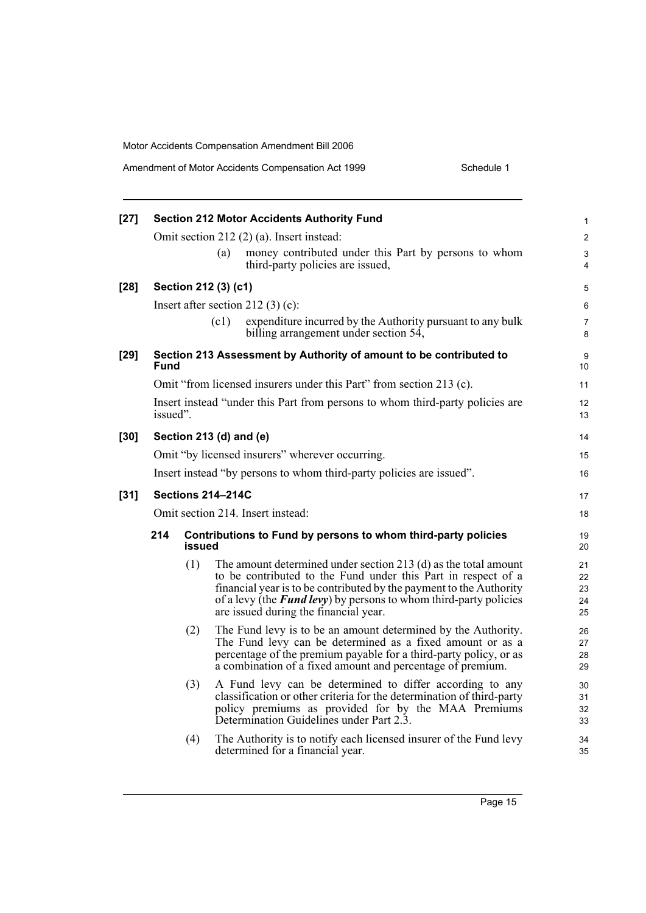| Amendment of Motor Accidents Compensation Act 1999 | Schedule 1 |
|----------------------------------------------------|------------|
|----------------------------------------------------|------------|

| [27] |             |                          |      | <b>Section 212 Motor Accidents Authority Fund</b>                                                                                                                                                                                                                                                                             | 1                          |
|------|-------------|--------------------------|------|-------------------------------------------------------------------------------------------------------------------------------------------------------------------------------------------------------------------------------------------------------------------------------------------------------------------------------|----------------------------|
|      |             |                          |      | Omit section 212 (2) (a). Insert instead:                                                                                                                                                                                                                                                                                     | $\overline{2}$             |
|      |             |                          | (a)  | money contributed under this Part by persons to whom<br>third-party policies are issued,                                                                                                                                                                                                                                      | 3<br>4                     |
| [28] |             | Section 212 (3) (c1)     |      |                                                                                                                                                                                                                                                                                                                               | 5                          |
|      |             |                          |      | Insert after section 212 $(3)$ $(c)$ :                                                                                                                                                                                                                                                                                        | 6                          |
|      |             |                          | (c1) | expenditure incurred by the Authority pursuant to any bulk<br>billing arrangement under section 54,                                                                                                                                                                                                                           | 7<br>8                     |
| [29] | <b>Fund</b> |                          |      | Section 213 Assessment by Authority of amount to be contributed to                                                                                                                                                                                                                                                            | 9<br>10                    |
|      |             |                          |      | Omit "from licensed insurers under this Part" from section 213 (c).                                                                                                                                                                                                                                                           | 11                         |
|      | issued".    |                          |      | Insert instead "under this Part from persons to whom third-party policies are                                                                                                                                                                                                                                                 | 12<br>13                   |
| [30] |             | Section 213 (d) and (e)  |      |                                                                                                                                                                                                                                                                                                                               | 14                         |
|      |             |                          |      | Omit "by licensed insurers" wherever occurring.                                                                                                                                                                                                                                                                               | 15                         |
|      |             |                          |      | Insert instead "by persons to whom third-party policies are issued".                                                                                                                                                                                                                                                          | 16                         |
| [31] |             | <b>Sections 214-214C</b> |      |                                                                                                                                                                                                                                                                                                                               | 17                         |
|      |             |                          |      | Omit section 214. Insert instead:                                                                                                                                                                                                                                                                                             | 18                         |
|      | 214         | issued                   |      | Contributions to Fund by persons to whom third-party policies                                                                                                                                                                                                                                                                 | 19<br>20                   |
|      |             | (1)                      |      | The amount determined under section 213 (d) as the total amount<br>to be contributed to the Fund under this Part in respect of a<br>financial year is to be contributed by the payment to the Authority<br>of a levy (the <b>Fund levy</b> ) by persons to whom third-party policies<br>are issued during the financial year. | 21<br>22<br>23<br>24<br>25 |
|      |             | (2)                      |      | The Fund levy is to be an amount determined by the Authority.<br>The Fund levy can be determined as a fixed amount or as a<br>percentage of the premium payable for a third-party policy, or as<br>a combination of a fixed amount and percentage of premium.                                                                 | 26<br>27<br>28<br>29       |
|      |             | (3)                      |      | A Fund levy can be determined to differ according to any<br>classification or other criteria for the determination of third-party<br>policy premiums as provided for by the MAA Premiums<br>Determination Guidelines under Part 2.3.                                                                                          | 30<br>31<br>32<br>33       |
|      |             | (4)                      |      | The Authority is to notify each licensed insurer of the Fund levy<br>determined for a financial year.                                                                                                                                                                                                                         | 34<br>35                   |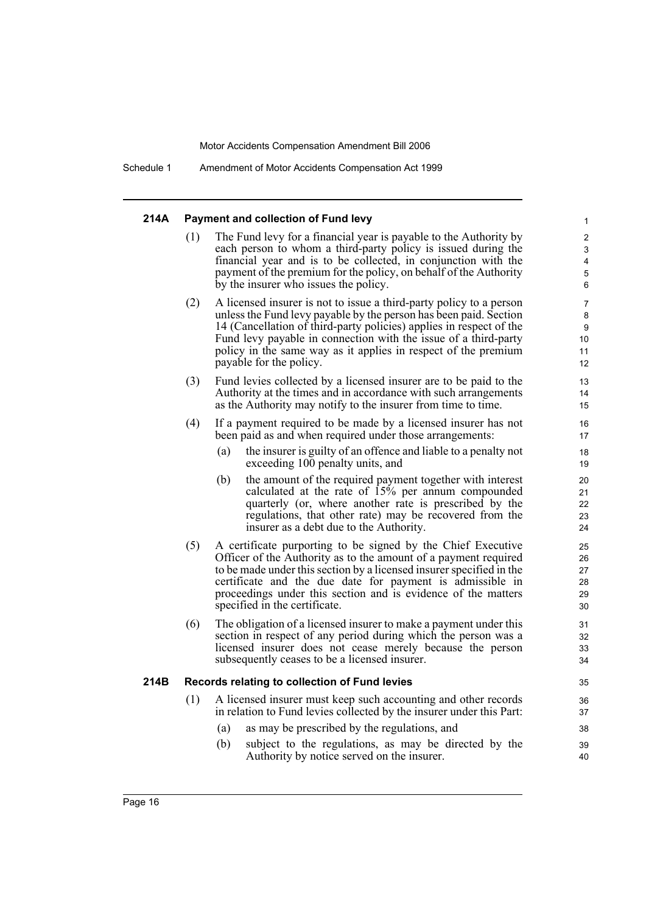Schedule 1 Amendment of Motor Accidents Compensation Act 1999

#### **214A Payment and collection of Fund levy**

(1) The Fund levy for a financial year is payable to the Authority by each person to whom a third-party policy is issued during the financial year and is to be collected, in conjunction with the payment of the premium for the policy, on behalf of the Authority by the insurer who issues the policy.

- (2) A licensed insurer is not to issue a third-party policy to a person unless the Fund levy payable by the person has been paid. Section 14 (Cancellation of third-party policies) applies in respect of the Fund levy payable in connection with the issue of a third-party policy in the same way as it applies in respect of the premium payable for the policy.
- (3) Fund levies collected by a licensed insurer are to be paid to the Authority at the times and in accordance with such arrangements as the Authority may notify to the insurer from time to time.
- (4) If a payment required to be made by a licensed insurer has not been paid as and when required under those arrangements:
	- (a) the insurer is guilty of an offence and liable to a penalty not exceeding 100 penalty units, and
	- (b) the amount of the required payment together with interest calculated at the rate of 15% per annum compounded quarterly (or, where another rate is prescribed by the regulations, that other rate) may be recovered from the insurer as a debt due to the Authority.
- (5) A certificate purporting to be signed by the Chief Executive Officer of the Authority as to the amount of a payment required to be made under this section by a licensed insurer specified in the certificate and the due date for payment is admissible in proceedings under this section and is evidence of the matters specified in the certificate.
- (6) The obligation of a licensed insurer to make a payment under this section in respect of any period during which the person was a licensed insurer does not cease merely because the person subsequently ceases to be a licensed insurer.

#### **214B Records relating to collection of Fund levies**

- (1) A licensed insurer must keep such accounting and other records in relation to Fund levies collected by the insurer under this Part:
	- (a) as may be prescribed by the regulations, and
	- (b) subject to the regulations, as may be directed by the Authority by notice served on the insurer.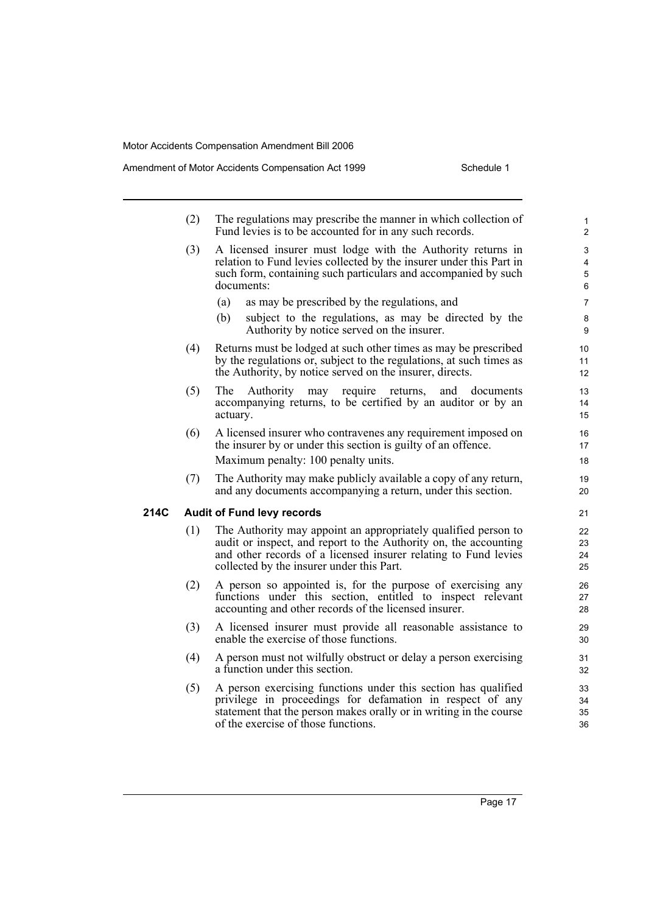### Amendment of Motor Accidents Compensation Act 1999 Schedule 1

|      | (2) | The regulations may prescribe the manner in which collection of<br>Fund levies is to be accounted for in any such records.                                                                                                                         | $\mathbf{1}$<br>$\overline{2}$ |
|------|-----|----------------------------------------------------------------------------------------------------------------------------------------------------------------------------------------------------------------------------------------------------|--------------------------------|
|      | (3) | A licensed insurer must lodge with the Authority returns in<br>relation to Fund levies collected by the insurer under this Part in<br>such form, containing such particulars and accompanied by such<br>documents:                                 | 3<br>4<br>5<br>6               |
|      |     | (a)<br>as may be prescribed by the regulations, and                                                                                                                                                                                                | $\overline{7}$                 |
|      |     | (b)<br>subject to the regulations, as may be directed by the<br>Authority by notice served on the insurer.                                                                                                                                         | 8<br>9                         |
|      | (4) | Returns must be lodged at such other times as may be prescribed<br>by the regulations or, subject to the regulations, at such times as<br>the Authority, by notice served on the insurer, directs.                                                 | 10<br>11<br>12 <sup>2</sup>    |
|      | (5) | The<br>Authority<br>may require<br>returns,<br>and<br>documents<br>accompanying returns, to be certified by an auditor or by an<br>actuary.                                                                                                        | 13<br>14<br>15                 |
|      | (6) | A licensed insurer who contravenes any requirement imposed on<br>the insurer by or under this section is guilty of an offence.<br>Maximum penalty: 100 penalty units.                                                                              | 16<br>17<br>18                 |
|      | (7) | The Authority may make publicly available a copy of any return,<br>and any documents accompanying a return, under this section.                                                                                                                    | 19<br>20                       |
| 214C |     | <b>Audit of Fund levy records</b>                                                                                                                                                                                                                  | 21                             |
|      | (1) | The Authority may appoint an appropriately qualified person to<br>audit or inspect, and report to the Authority on, the accounting<br>and other records of a licensed insurer relating to Fund levies<br>collected by the insurer under this Part. | 22<br>23<br>24<br>25           |
|      | (2) | A person so appointed is, for the purpose of exercising any<br>functions under this section, entitled to inspect relevant<br>accounting and other records of the licensed insurer.                                                                 | 26<br>27<br>28                 |
|      | (3) | A licensed insurer must provide all reasonable assistance to<br>enable the exercise of those functions.                                                                                                                                            | 29<br>30                       |
|      | (4) | A person must not wilfully obstruct or delay a person exercising<br>a function under this section.                                                                                                                                                 | 31<br>32                       |
|      | (5) | A person exercising functions under this section has qualified<br>privilege in proceedings for defamation in respect of any<br>statement that the person makes orally or in writing in the course<br>of the exercise of those functions.           | 33<br>34<br>35<br>36           |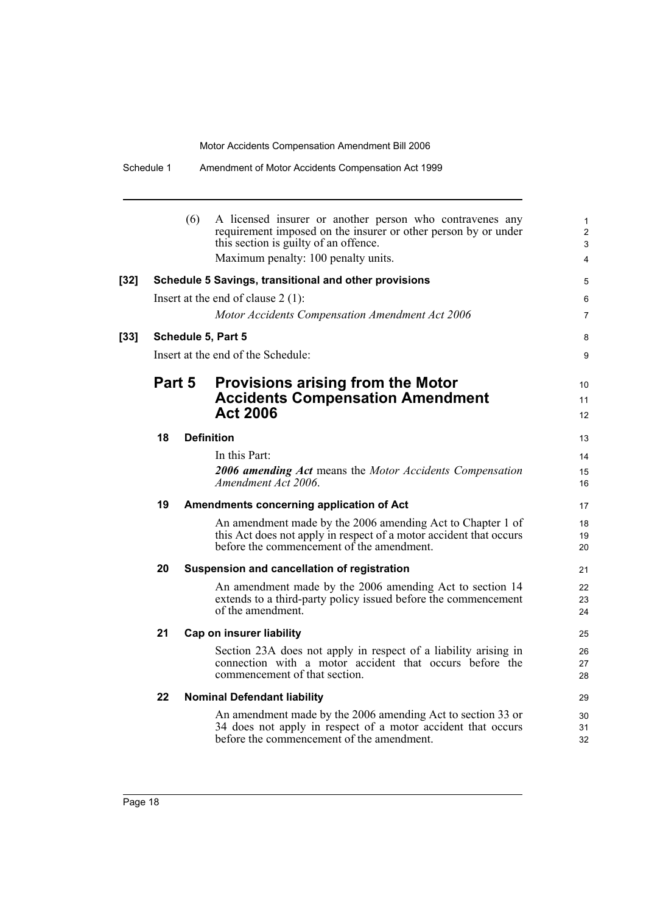| Schedule 1 | Amendment of Motor Accidents Compensation Act 1999                                                                                                                                                                |                                          |  |  |  |
|------------|-------------------------------------------------------------------------------------------------------------------------------------------------------------------------------------------------------------------|------------------------------------------|--|--|--|
|            | (6)<br>A licensed insurer or another person who contravenes any<br>requirement imposed on the insurer or other person by or under<br>this section is guilty of an offence.<br>Maximum penalty: 100 penalty units. | $\mathbf{1}$<br>$\overline{c}$<br>3<br>4 |  |  |  |
| $[32]$     | Schedule 5 Savings, transitional and other provisions                                                                                                                                                             | 5                                        |  |  |  |
|            | Insert at the end of clause $2(1)$ :                                                                                                                                                                              | 6                                        |  |  |  |
|            | Motor Accidents Compensation Amendment Act 2006                                                                                                                                                                   | 7                                        |  |  |  |
| $[33]$     | Schedule 5, Part 5                                                                                                                                                                                                |                                          |  |  |  |
|            | Insert at the end of the Schedule:                                                                                                                                                                                |                                          |  |  |  |
| Part 5     | <b>Provisions arising from the Motor</b>                                                                                                                                                                          | 10                                       |  |  |  |
|            | <b>Accidents Compensation Amendment</b>                                                                                                                                                                           | 11                                       |  |  |  |
|            | <b>Act 2006</b>                                                                                                                                                                                                   | 12                                       |  |  |  |
| 18         | <b>Definition</b>                                                                                                                                                                                                 | 13                                       |  |  |  |
|            | In this Part:                                                                                                                                                                                                     | 14                                       |  |  |  |
|            | <b>2006 amending Act</b> means the Motor Accidents Compensation<br>Amendment Act 2006.                                                                                                                            | 15<br>16                                 |  |  |  |
| 19         | Amendments concerning application of Act                                                                                                                                                                          | 17                                       |  |  |  |
|            | An amendment made by the 2006 amending Act to Chapter 1 of<br>this Act does not apply in respect of a motor accident that occurs<br>before the commencement of the amendment.                                     | 18<br>19<br>20                           |  |  |  |
| 20         | Suspension and cancellation of registration                                                                                                                                                                       | 21                                       |  |  |  |
|            | An amendment made by the 2006 amending Act to section 14<br>extends to a third-party policy issued before the commencement<br>of the amendment.                                                                   | 22<br>23<br>24                           |  |  |  |
| 21         | Cap on insurer liability                                                                                                                                                                                          | 25                                       |  |  |  |
|            | Section 23A does not apply in respect of a liability arising in<br>connection with a motor accident that occurs before the<br>commencement of that section.                                                       | 26<br>27<br>28                           |  |  |  |
| 22         | <b>Nominal Defendant liability</b>                                                                                                                                                                                | 29                                       |  |  |  |
|            | An amendment made by the 2006 amending Act to section 33 or<br>34 does not apply in respect of a motor accident that occurs<br>before the commencement of the amendment.                                          | 30<br>31<br>32                           |  |  |  |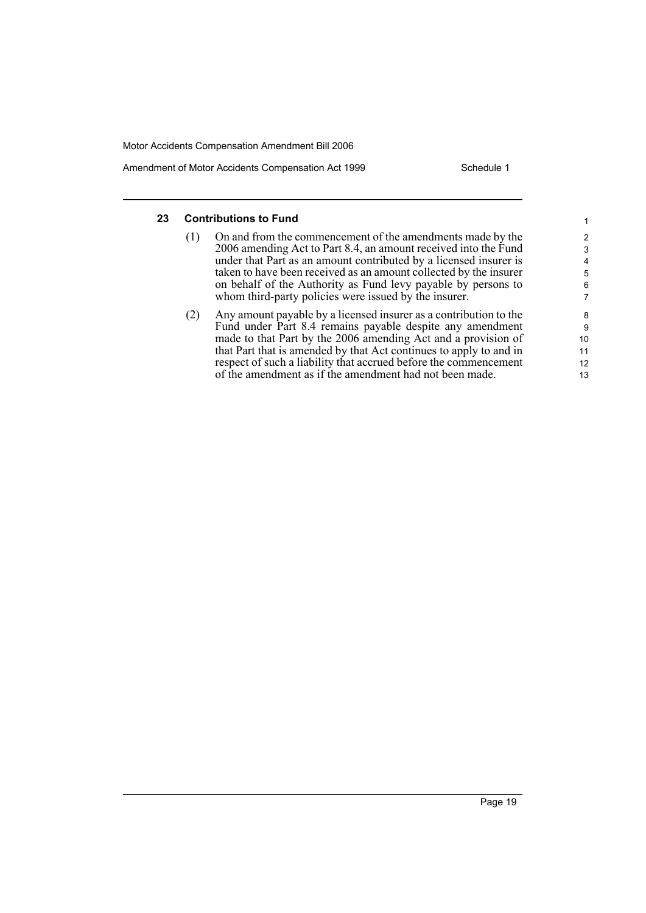Amendment of Motor Accidents Compensation Act 1999 Schedule 1

### **23 Contributions to Fund**

- (1) On and from the commencement of the amendments made by the 2006 amending Act to Part 8.4, an amount received into the Fund under that Part as an amount contributed by a licensed insurer is taken to have been received as an amount collected by the insurer on behalf of the Authority as Fund levy payable by persons to whom third-party policies were issued by the insurer.
- (2) Any amount payable by a licensed insurer as a contribution to the Fund under Part 8.4 remains payable despite any amendment made to that Part by the 2006 amending Act and a provision of that Part that is amended by that Act continues to apply to and in respect of such a liability that accrued before the commencement of the amendment as if the amendment had not been made.